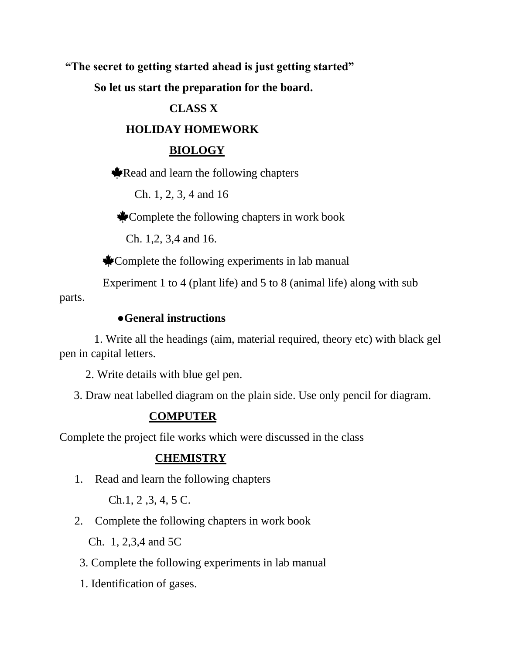**"The secret to getting started ahead is just getting started"**

 **So let us start the preparation for the board.**

### **CLASS X**

#### **HOLIDAY HOMEWORK**

#### **BIOLOGY**

Read and learn the following chapters

Ch. 1, 2, 3, 4 and 16

Complete the following chapters in work book

Ch. 1,2, 3,4 and 16.

Complete the following experiments in lab manual

Experiment 1 to 4 (plant life) and 5 to 8 (animal life) along with sub

parts.

### ●**General instructions**

 1. Write all the headings (aim, material required, theory etc) with black gel pen in capital letters.

2. Write details with blue gel pen.

3. Draw neat labelled diagram on the plain side. Use only pencil for diagram.

### **COMPUTER**

Complete the project file works which were discussed in the class

#### **CHEMISTRY**

1. Read and learn the following chapters

Ch.1, 2 ,3, 4, 5 C.

2. Complete the following chapters in work book

Ch. 1, 2,3,4 and 5C

- 3. Complete the following experiments in lab manual
- 1. Identification of gases.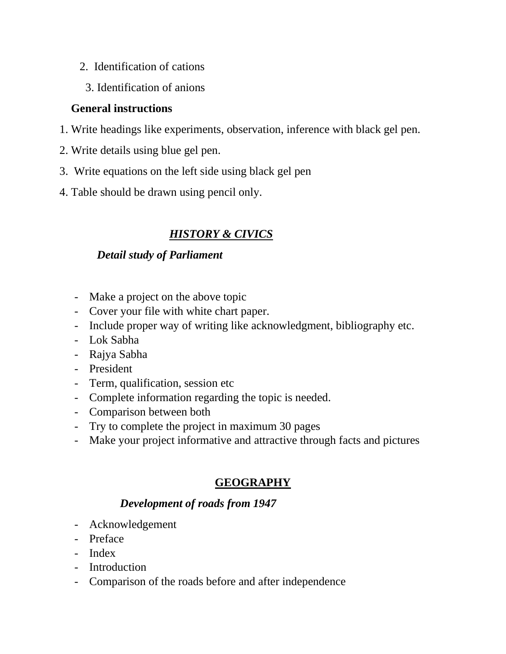- 2. Identification of cations
	- 3. Identification of anions

### **General instructions**

- 1. Write headings like experiments, observation, inference with black gel pen.
- 2. Write details using blue gel pen.
- 3. Write equations on the left side using black gel pen
- 4. Table should be drawn using pencil only.

# *HISTORY & CIVICS*

# *Detail study of Parliament*

- Make a project on the above topic
- Cover your file with white chart paper.
- Include proper way of writing like acknowledgment, bibliography etc.
- Lok Sabha
- Rajya Sabha
- President
- Term, qualification, session etc
- Complete information regarding the topic is needed.
- Comparison between both
- Try to complete the project in maximum 30 pages
- Make your project informative and attractive through facts and pictures

# **GEOGRAPHY**

# *Development of roads from 1947*

- Acknowledgement
- Preface
- Index
- Introduction
- Comparison of the roads before and after independence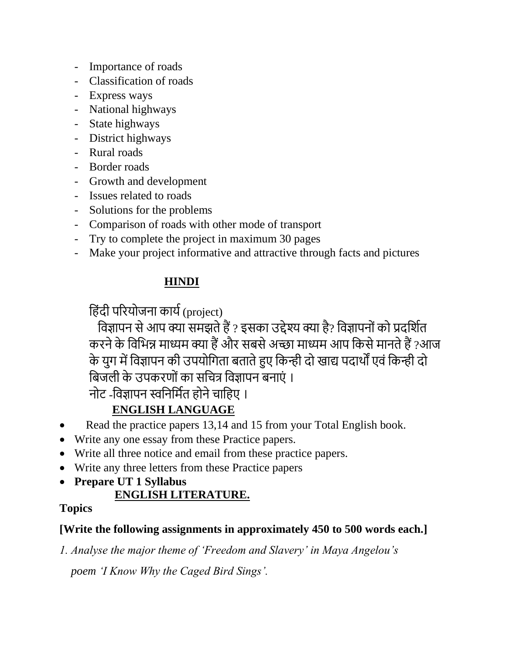- Importance of roads
- Classification of roads
- Express ways
- National highways
- State highways
- District highways
- Rural roads
- Border roads
- Growth and development
- Issues related to roads
- Solutions for the problems
- Comparison of roads with other mode of transport
- Try to complete the project in maximum 30 pages
- Make your project informative and attractive through facts and pictures

# **HINDI**

हिंदी परियोजना कार्य (project)

विज्ञापन से आप क्या समझते हैं ? इसका उद्देश्य क्या है? विज्ञापनों को प्रदर्शित करने के विभिन्न माध्यम क्या हैं और सबसे अच्छा माध्यम आप किसे मानते हैं ?आज के युग में विज्ञापन की उपयोगिता बताते हुए किन्ही दो खाद्य पदार्थों एवं किन्ही दो बिजली के उपकरणों का सचित्र विज्ञापन बनाएं ।

नोट -विज्ञापन स्वनिर्मित होने चाहिए ।

# **ENGLISH LANGUAGE**

- Read the practice papers 13,14 and 15 from your Total English book.
- Write any one essay from these Practice papers.
- Write all three notice and email from these practice papers.
- Write any three letters from these Practice papers
- **Prepare UT 1 Syllabus**

# **ENGLISH LITERATURE.**

### **Topics**

### **[Write the following assignments in approximately 450 to 500 words each.]**

*1. Analyse the major theme of 'Freedom and Slavery' in Maya Angelou's* 

 *poem 'I Know Why the Caged Bird Sings'.*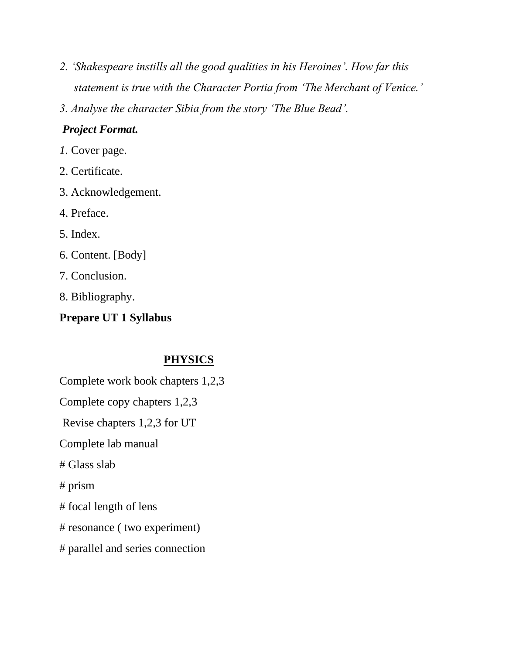- *2. 'Shakespeare instills all the good qualities in his Heroines'. How far this statement is true with the Character Portia from 'The Merchant of Venice.'*
- *3. Analyse the character Sibia from the story 'The Blue Bead'.*

### *Project Format.*

- *1.* Cover page.
- 2. Certificate.
- 3. Acknowledgement.
- 4. Preface.
- 5. Index.
- 6. Content. [Body]
- 7. Conclusion.
- 8. Bibliography.

# **Prepare UT 1 Syllabus**

# **PHYSICS**

- Complete work book chapters 1,2,3
- Complete copy chapters 1,2,3
- Revise chapters 1,2,3 for UT
- Complete lab manual
- # Glass slab
- # prism
- # focal length of lens
- # resonance ( two experiment)
- # parallel and series connection